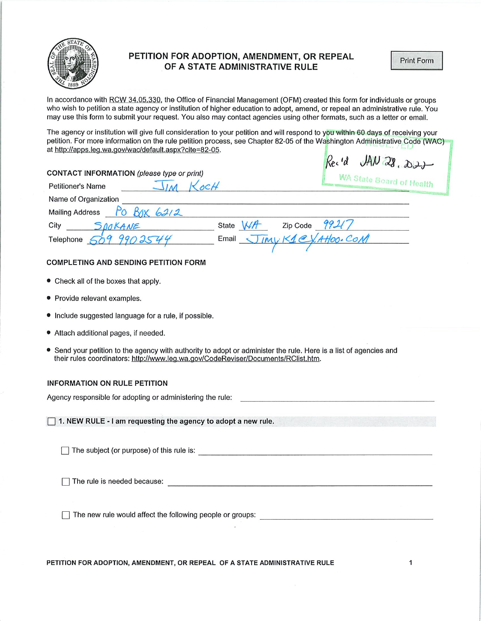

## PETITION FOR ADOPTION, AMENDMENT, OR REPEAL OF A STATE ADMINISTRATIVE RULE

Print Form

In accordance with RCW 34,05,330, the Office of Financial Management (OFM) created this form for individuals or groups who wish to petition a state agency or institution of higher education to adopt, amend, or repeal an administrative rule. You may use this form to submit your request. You also may contact agencies using other formats, such as a letter or email.

The agency or institution will give full consideration to your petition and will respond to you within 60 days of receiving your petition. For more information on the rule petition process, see Chapter 82-05 of the Washington Administrative Code (WAC) at http://apps.leg.wa.gov/wac/default.aspx?cite=82-05. L.  $\ddot{\phantom{a}}$ 

| AN28,22<br>Rec'd                                                                                                                                                                                                                     |
|--------------------------------------------------------------------------------------------------------------------------------------------------------------------------------------------------------------------------------------|
| <b>CONTACT INFORMATION</b> (please type or print)<br>WA State Board of Health                                                                                                                                                        |
| $\frac{1}{M}$ KocH<br><b>Petitioner's Name</b>                                                                                                                                                                                       |
| Name of Organization                                                                                                                                                                                                                 |
| Mailing Address <u>Po Box</u> 6212                                                                                                                                                                                                   |
| City                                                                                                                                                                                                                                 |
| SPOKANE STORANE State WA Zip Code 99217<br>Telephone $\varsigma$                                                                                                                                                                     |
| <b>COMPLETING AND SENDING PETITION FORM</b>                                                                                                                                                                                          |
| • Check all of the boxes that apply.                                                                                                                                                                                                 |
| • Provide relevant examples.                                                                                                                                                                                                         |
| • Include suggested language for a rule, if possible.                                                                                                                                                                                |
| • Attach additional pages, if needed.                                                                                                                                                                                                |
| • Send your petition to the agency with authority to adopt or administer the rule. Here is a list of agencies and<br>their rules coordinators: http://www.leg.wa.gov/CodeReviser/Documents/RClist.htm.                               |
| <b>INFORMATION ON RULE PETITION</b>                                                                                                                                                                                                  |
|                                                                                                                                                                                                                                      |
| 1. NEW RULE - I am requesting the agency to adopt a new rule.                                                                                                                                                                        |
|                                                                                                                                                                                                                                      |
| The rule is needed because: <u>contract and contract and contract and contract and contract and contract and contract and contract and contract and contract and contract and contract and contract and contract and contract an</u> |
| The new rule would affect the following people or groups: ______________________                                                                                                                                                     |
|                                                                                                                                                                                                                                      |

PETITION FOR ADOPTION, AMENDMENT, OR REPEAL OF A STATE ADMINISTRATIVE RULE